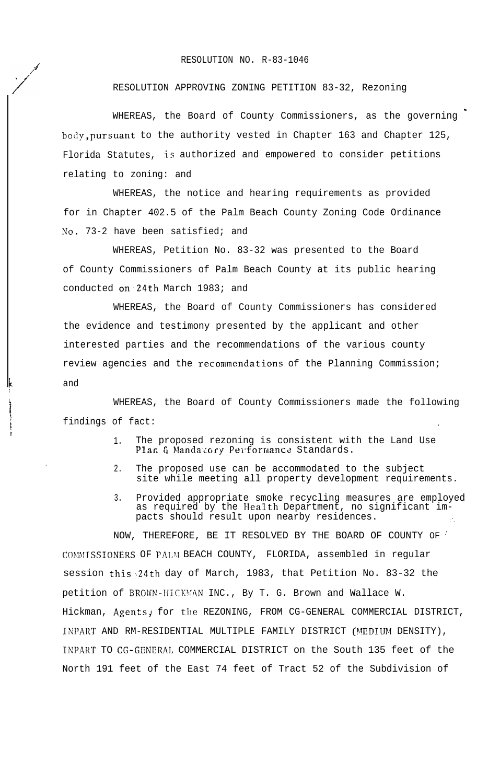## RESOLUTION NO. R-83-1046

## RESOLUTION APPROVING ZONING PETITION 83-32, Rezoning

WHEREAS, the Board of County Commissioners, as the governing body,pursuant to the authority vested in Chapter 163 and Chapter 125, Florida Statutes, is authorized and empowered to consider petitions relating to zoning: and

WHEREAS, the notice and hearing requirements as provided for in Chapter 402.5 of the Palm Beach County Zoning Code Ordinance No. 73-2 have been satisfied; and

WHEREAS, Petition No. 83-32 was presented to the Board of County Commissioners of Palm Beach County at its public hearing conducted on24th March 1983; and

WHEREAS, the Board of County Commissioners has considered the evidence and testimony presented by the applicant and other interested parties and the recommendations of the various county review agencies and the recommendations of the Planning Commission; and

WHEREAS, the Board of County Commissioners made the following findings of fact:

.

- 1. The proposed rezoning is consistent with the Land Use Plan & Mandatory Performance Standards.
- 2. The proposed use can be accommodated to the subject site while meeting all property development requirements.
- 3. Provided appropriate smoke recycling measures are employed as required by the Health Department, no significant impacts should result upon nearby residences.

NOW, THEREFORE, BE IT RESOLVED BY THE BOARD OF COUNTY OF ' COMMISSIONERS OF PALM BEACH COUNTY, FLORIDA, assembled in regular session this 24th day of March, 1983, that Petition No. 83-32 the petition of BROWN-HICKMAN INC., By T. G. Brown and Wallace W. Hickman, Agents, for the REZONING, FROM CG-GENERAL COMMERCIAL DISTRICT, INPART AND RM-RESIDENTIAL MULTIPLE FAMILY DISTRICT (MEDIUM DENSITY), INPART TO CG-GENERnL COMMERCIAL DISTRICT on the South 135 feet of the North 191 feet of the East 74 feet of Tract 52 of the Subdivision of